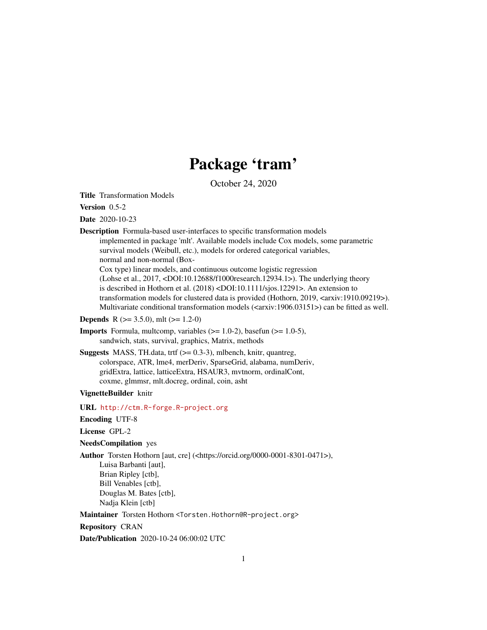## Package 'tram'

October 24, 2020

<span id="page-0-0"></span>Title Transformation Models

Version 0.5-2

Date 2020-10-23

Description Formula-based user-interfaces to specific transformation models implemented in package 'mlt'. Available models include Cox models, some parametric survival models (Weibull, etc.), models for ordered categorical variables, normal and non-normal (Box-Cox type) linear models, and continuous outcome logistic regression (Lohse et al., 2017, <DOI:10.12688/f1000research.12934.1>). The underlying theory

is described in Hothorn et al. (2018) <DOI:10.1111/sjos.12291>. An extension to transformation models for clustered data is provided (Hothorn, 2019, <arxiv:1910.09219>). Multivariate conditional transformation models ( $\langle \text{carxiv:1906.03151>} \rangle$ ) can be fitted as well.

**Depends** R ( $>= 3.5.0$ ), mlt ( $>= 1.2-0$ )

- **Imports** Formula, multcomp, variables  $(>= 1.0-2)$ , basefun  $(>= 1.0-5)$ , sandwich, stats, survival, graphics, Matrix, methods
- **Suggests** MASS, TH.data, trtf  $(>= 0.3-3)$ , mlbench, knitr, quantreg, colorspace, ATR, lme4, merDeriv, SparseGrid, alabama, numDeriv, gridExtra, lattice, latticeExtra, HSAUR3, mvtnorm, ordinalCont, coxme, glmmsr, mlt.docreg, ordinal, coin, asht

VignetteBuilder knitr

URL <http://ctm.R-forge.R-project.org>

Encoding UTF-8

License GPL-2

NeedsCompilation yes

Author Torsten Hothorn [aut, cre] (<https://orcid.org/0000-0001-8301-0471>),

Luisa Barbanti [aut], Brian Ripley [ctb], Bill Venables [ctb], Douglas M. Bates [ctb], Nadja Klein [ctb]

Maintainer Torsten Hothorn <Torsten.Hothorn@R-project.org>

Repository CRAN

Date/Publication 2020-10-24 06:00:02 UTC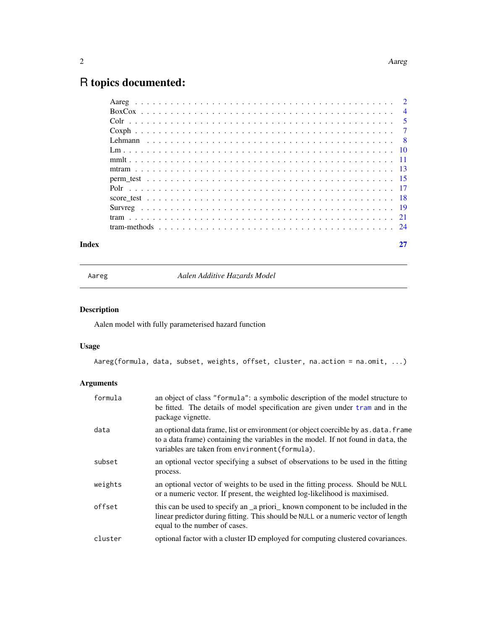## <span id="page-1-0"></span>R topics documented:

#### **Index** [27](#page-26-0)

Aareg *Aalen Additive Hazards Model*

## Description

Aalen model with fully parameterised hazard function

## Usage

Aareg(formula, data, subset, weights, offset, cluster, na.action = na.omit, ...)

| formula | an object of class "formula": a symbolic description of the model structure to<br>be fitted. The details of model specification are given under tram and in the<br>package vignette.                                         |
|---------|------------------------------------------------------------------------------------------------------------------------------------------------------------------------------------------------------------------------------|
| data    | an optional data frame, list or environment (or object coercible by as . data. frame<br>to a data frame) containing the variables in the model. If not found in data, the<br>variables are taken from environment (formula). |
| subset  | an optional vector specifying a subset of observations to be used in the fitting<br>process.                                                                                                                                 |
| weights | an optional vector of weights to be used in the fitting process. Should be NULL<br>or a numeric vector. If present, the weighted log-likelihood is maximised.                                                                |
| offset  | this can be used to specify an a priori known component to be included in the<br>linear predictor during fitting. This should be NULL or a numeric vector of length<br>equal to the number of cases.                         |
| cluster | optional factor with a cluster ID employed for computing clustered covariances.                                                                                                                                              |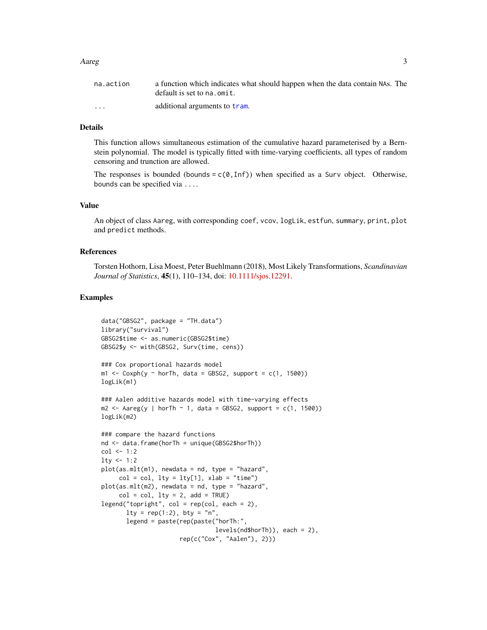#### Aareg 3

| na.action               | a function which indicates what should happen when the data contain NAs. The<br>default is set to na. omit. |
|-------------------------|-------------------------------------------------------------------------------------------------------------|
| $\cdot$ $\cdot$ $\cdot$ | additional arguments to tram.                                                                               |

## Details

This function allows simultaneous estimation of the cumulative hazard parameterised by a Bernstein polynomial. The model is typically fitted with time-varying coefficients, all types of random censoring and trunction are allowed.

The responses is bounded (bounds =  $c(0, \text{Inf})$ ) when specified as a Surv object. Otherwise, bounds can be specified via ....

#### Value

An object of class Aareg, with corresponding coef, vcov, logLik, estfun, summary, print, plot and predict methods.

#### References

Torsten Hothorn, Lisa Moest, Peter Buehlmann (2018), Most Likely Transformations, *Scandinavian Journal of Statistics*, 45(1), 110–134, doi: [10.1111/sjos.12291.](https://doi.org/10.1111/sjos.12291)

```
data("GBSG2", package = "TH.data")
library("survival")
GBSG2$time <- as.numeric(GBSG2$time)
GBSG2$y <- with(GBSG2, Surv(time, cens))
### Cox proportional hazards model
m1 <- \text{Coxph}(y \sim \text{horTh}, \text{data} = \text{GBSG2}, \text{support} = \text{c}(1, 1500))logLik(m1)
### Aalen additive hazards model with time-varying effects
m2 \leq -A \text{areg}(y \mid \text{horTh} \sim 1, \text{ data} = \text{GBSG2}, \text{ support} = c(1, 1500))logLik(m2)
### compare the hazard functions
nd <- data.frame(horTh = unique(GBSG2$horTh))
col < -1:2lty < -1:2plot(as.mlt(m1), newdata = nd, type = "hazard",col = col, lty = lty[1], xlab = "time")plot(as.mlt(m2), newdata = nd, type = "hazard",col = col, lty = 2, add = TRUE)
legend("topright", col = rep(col, each = 2),
       lty = rep(1:2), bty = "n",
       legend = paste(rep(paste("horTh:",
                                   levels(nd$horTh)), each = 2),
                        rep(c("Cox", "Aalen"), 2)))
```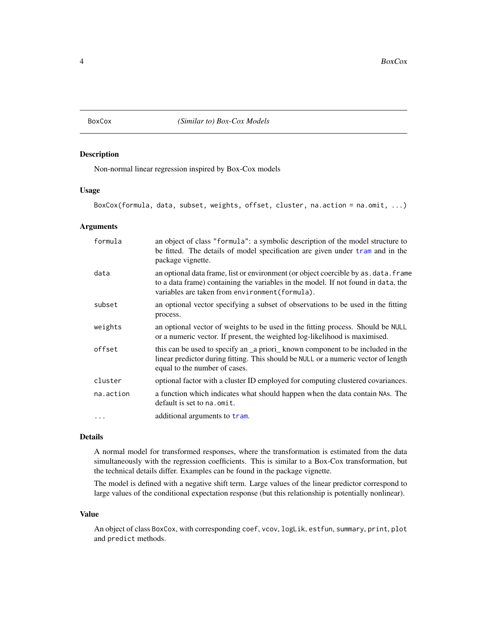<span id="page-3-1"></span><span id="page-3-0"></span>

## Description

Non-normal linear regression inspired by Box-Cox models

#### Usage

```
BoxCox(formula, data, subset, weights, offset, cluster, na.action = na.omit, ...)
```
#### Arguments

| formula   | an object of class "formula": a symbolic description of the model structure to<br>be fitted. The details of model specification are given under tram and in the<br>package vignette.                                         |
|-----------|------------------------------------------------------------------------------------------------------------------------------------------------------------------------------------------------------------------------------|
| data      | an optional data frame, list or environment (or object coercible by as . data. frame<br>to a data frame) containing the variables in the model. If not found in data, the<br>variables are taken from environment (formula). |
| subset    | an optional vector specifying a subset of observations to be used in the fitting<br>process.                                                                                                                                 |
| weights   | an optional vector of weights to be used in the fitting process. Should be NULL<br>or a numeric vector. If present, the weighted log-likelihood is maximised.                                                                |
| offset    | this can be used to specify an _a priori_known component to be included in the<br>linear predictor during fitting. This should be NULL or a numeric vector of length<br>equal to the number of cases.                        |
| cluster   | optional factor with a cluster ID employed for computing clustered covariances.                                                                                                                                              |
| na.action | a function which indicates what should happen when the data contain NAs. The<br>default is set to na. omit.                                                                                                                  |
| $\cdots$  | additional arguments to tram.                                                                                                                                                                                                |

## Details

A normal model for transformed responses, where the transformation is estimated from the data simultaneously with the regression coefficients. This is similar to a Box-Cox transformation, but the technical details differ. Examples can be found in the package vignette.

The model is defined with a negative shift term. Large values of the linear predictor correspond to large values of the conditional expectation response (but this relationship is potentially nonlinear).

#### Value

An object of class BoxCox, with corresponding coef, vcov, logLik, estfun, summary, print, plot and predict methods.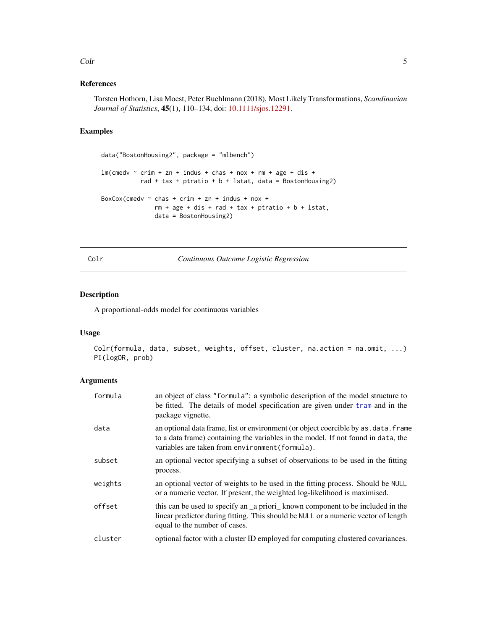#### <span id="page-4-0"></span>Colr 5

## References

Torsten Hothorn, Lisa Moest, Peter Buehlmann (2018), Most Likely Transformations, *Scandinavian Journal of Statistics*, 45(1), 110–134, doi: [10.1111/sjos.12291.](https://doi.org/10.1111/sjos.12291)

## Examples

```
data("BostonHousing2", package = "mlbench")
lm(cmedv \sim crim + zn + indus + chas + nox + rm + age + dis +
           rad + tax + ptratio + b + lstat, data = BostonHousing2)
BoxCox(cmedv \sim chas + crim + zn + indus + nox +
               rm + age + dis + rad + tax + ptratio + b + lstat,data = BostonHousing2)
```
<span id="page-4-1"></span>Colr *Continuous Outcome Logistic Regression*

## Description

A proportional-odds model for continuous variables

## Usage

```
Colr(formula, data, subset, weights, offset, cluster, na.action = na.omit, ...)
PI(logOR, prob)
```

| formula | an object of class "formula": a symbolic description of the model structure to<br>be fitted. The details of model specification are given under tram and in the<br>package vignette.                                         |
|---------|------------------------------------------------------------------------------------------------------------------------------------------------------------------------------------------------------------------------------|
| data    | an optional data frame, list or environment (or object coercible by as . data. frame<br>to a data frame) containing the variables in the model. If not found in data, the<br>variables are taken from environment (formula). |
| subset  | an optional vector specifying a subset of observations to be used in the fitting<br>process.                                                                                                                                 |
| weights | an optional vector of weights to be used in the fitting process. Should be NULL<br>or a numeric vector. If present, the weighted log-likelihood is maximised.                                                                |
| offset  | this can be used to specify an _a priori_ known component to be included in the<br>linear predictor during fitting. This should be NULL or a numeric vector of length<br>equal to the number of cases.                       |
| cluster | optional factor with a cluster ID employed for computing clustered covariances.                                                                                                                                              |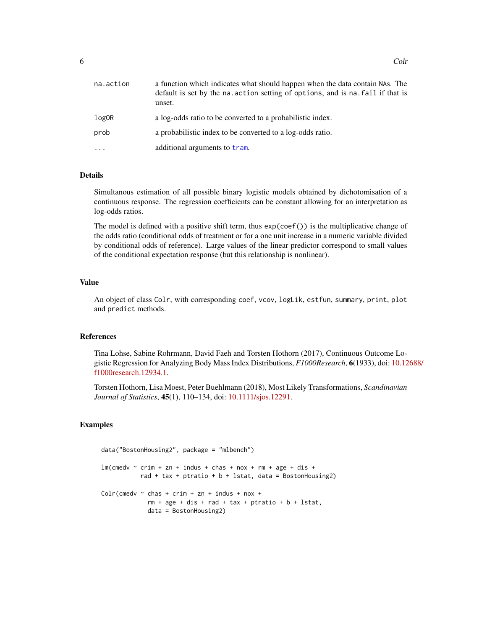| na.action | a function which indicates what should happen when the data contain NAs. The<br>default is set by the na. action setting of options, and is na. fail if that is<br>unset. |
|-----------|---------------------------------------------------------------------------------------------------------------------------------------------------------------------------|
| logOR     | a log-odds ratio to be converted to a probabilistic index.                                                                                                                |
| prob      | a probabilistic index to be converted to a log-odds ratio.                                                                                                                |
| .         | additional arguments to tram.                                                                                                                                             |

Simultanous estimation of all possible binary logistic models obtained by dichotomisation of a continuous response. The regression coefficients can be constant allowing for an interpretation as log-odds ratios.

The model is defined with a positive shift term, thus exp(coef()) is the multiplicative change of the odds ratio (conditional odds of treatment or for a one unit increase in a numeric variable divided by conditional odds of reference). Large values of the linear predictor correspond to small values of the conditional expectation response (but this relationship is nonlinear).

#### Value

An object of class Colr, with corresponding coef, vcov, logLik, estfun, summary, print, plot and predict methods.

## References

Tina Lohse, Sabine Rohrmann, David Faeh and Torsten Hothorn (2017), Continuous Outcome Logistic Regression for Analyzing Body Mass Index Distributions, *F1000Research*, 6(1933), doi: [10.12](https://doi.org/10.12688/f1000research.12934.1)688/ [f1000research.12934.1.](https://doi.org/10.12688/f1000research.12934.1)

Torsten Hothorn, Lisa Moest, Peter Buehlmann (2018), Most Likely Transformations, *Scandinavian Journal of Statistics*, 45(1), 110–134, doi: [10.1111/sjos.12291.](https://doi.org/10.1111/sjos.12291)

```
data("BostonHousing2", package = "mlbench")
lm(cmedv \sim crim + zn + indus + chas + nox + rm + age + dis +
           rad + tax + ptratio + b + lstat, data = BostonHousing2)
Colr(cmedv ~ chas + crim + zn + indus + nox +
             rm + age + dis + rad + tax + ptratio + b + lstat,data = BostonHousing2)
```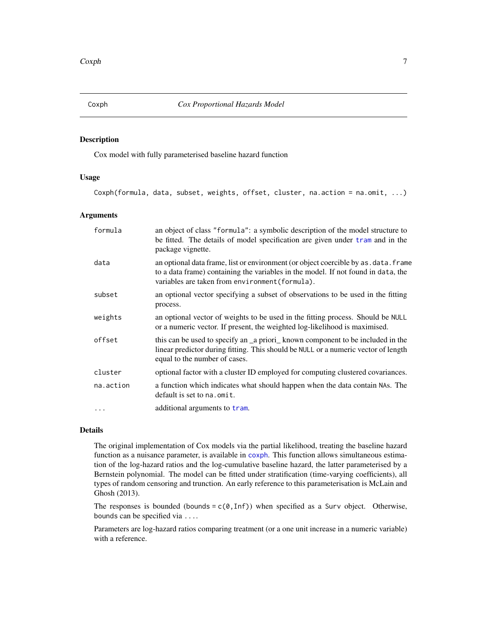## <span id="page-6-1"></span><span id="page-6-0"></span>Description

Cox model with fully parameterised baseline hazard function

## Usage

Coxph(formula, data, subset, weights, offset, cluster, na.action = na.omit, ...)

#### Arguments

| formula   | an object of class "formula": a symbolic description of the model structure to<br>be fitted. The details of model specification are given under tram and in the<br>package vignette.                                         |
|-----------|------------------------------------------------------------------------------------------------------------------------------------------------------------------------------------------------------------------------------|
| data      | an optional data frame, list or environment (or object coercible by as . data. frame<br>to a data frame) containing the variables in the model. If not found in data, the<br>variables are taken from environment (formula). |
| subset    | an optional vector specifying a subset of observations to be used in the fitting<br>process.                                                                                                                                 |
| weights   | an optional vector of weights to be used in the fitting process. Should be NULL<br>or a numeric vector. If present, the weighted log-likelihood is maximised.                                                                |
| offset    | this can be used to specify an _a priori_known component to be included in the<br>linear predictor during fitting. This should be NULL or a numeric vector of length<br>equal to the number of cases.                        |
| cluster   | optional factor with a cluster ID employed for computing clustered covariances.                                                                                                                                              |
| na.action | a function which indicates what should happen when the data contain NAs. The<br>default is set to na. omit.                                                                                                                  |
| $\cdots$  | additional arguments to tram.                                                                                                                                                                                                |

#### Details

The original implementation of Cox models via the partial likelihood, treating the baseline hazard function as a nuisance parameter, is available in [coxph](#page-0-0). This function allows simultaneous estimation of the log-hazard ratios and the log-cumulative baseline hazard, the latter parameterised by a Bernstein polynomial. The model can be fitted under stratification (time-varying coefficients), all types of random censoring and trunction. An early reference to this parameterisation is McLain and Ghosh (2013).

The responses is bounded (bounds =  $c(0, \text{Inf})$ ) when specified as a Surv object. Otherwise, bounds can be specified via ....

Parameters are log-hazard ratios comparing treatment (or a one unit increase in a numeric variable) with a reference.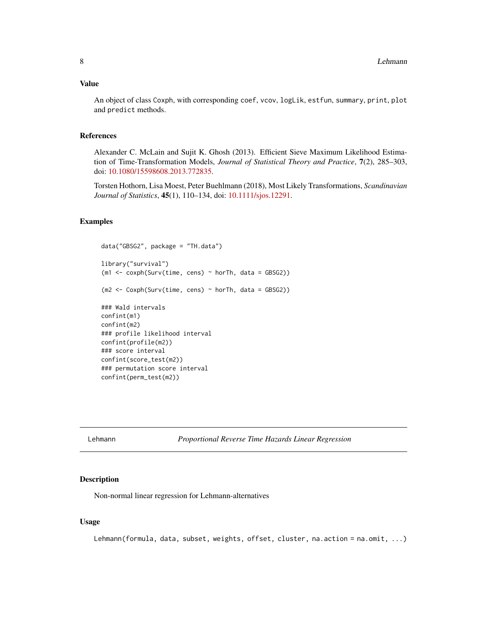## <span id="page-7-0"></span>Value

An object of class Coxph, with corresponding coef, vcov, logLik, estfun, summary, print, plot and predict methods.

## References

Alexander C. McLain and Sujit K. Ghosh (2013). Efficient Sieve Maximum Likelihood Estimation of Time-Transformation Models, *Journal of Statistical Theory and Practice*, 7(2), 285–303, doi: [10.1080/15598608.2013.772835.](https://doi.org/10.1080/15598608.2013.772835)

Torsten Hothorn, Lisa Moest, Peter Buehlmann (2018), Most Likely Transformations, *Scandinavian Journal of Statistics*, 45(1), 110–134, doi: [10.1111/sjos.12291.](https://doi.org/10.1111/sjos.12291)

#### Examples

```
data("GBSG2", package = "TH.data")
library("survival")
(m1 <- coxph(Surv(time, cens) ~ horTh, data = GBSG2))
(m2 <- Coxph(Surv(time, cens) ~ horTh, data = GBSG2))
### Wald intervals
confint(m1)
confint(m2)
### profile likelihood interval
confint(profile(m2))
### score interval
confint(score_test(m2))
### permutation score interval
confint(perm_test(m2))
```
Lehmann *Proportional Reverse Time Hazards Linear Regression*

### Description

Non-normal linear regression for Lehmann-alternatives

#### Usage

Lehmann(formula, data, subset, weights, offset, cluster, na.action = na.omit, ...)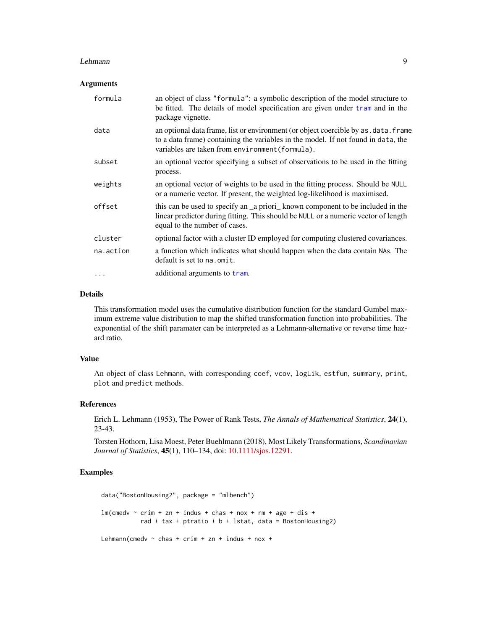#### <span id="page-8-0"></span>Lehmann 9

#### **Arguments**

| formula   | an object of class "formula": a symbolic description of the model structure to<br>be fitted. The details of model specification are given under tram and in the<br>package vignette.                                         |
|-----------|------------------------------------------------------------------------------------------------------------------------------------------------------------------------------------------------------------------------------|
| data      | an optional data frame, list or environment (or object coercible by as . data. frame<br>to a data frame) containing the variables in the model. If not found in data, the<br>variables are taken from environment (formula). |
| subset    | an optional vector specifying a subset of observations to be used in the fitting<br>process.                                                                                                                                 |
| weights   | an optional vector of weights to be used in the fitting process. Should be NULL<br>or a numeric vector. If present, the weighted log-likelihood is maximised.                                                                |
| offset    | this can be used to specify an _a priori_known component to be included in the<br>linear predictor during fitting. This should be NULL or a numeric vector of length<br>equal to the number of cases.                        |
| cluster   | optional factor with a cluster ID employed for computing clustered covariances.                                                                                                                                              |
| na.action | a function which indicates what should happen when the data contain NAs. The<br>default is set to na. omit.                                                                                                                  |
| $\cdots$  | additional arguments to tram.                                                                                                                                                                                                |

## Details

This transformation model uses the cumulative distribution function for the standard Gumbel maximum extreme value distribution to map the shifted transformation function into probabilities. The exponential of the shift paramater can be interpreted as a Lehmann-alternative or reverse time hazard ratio.

## Value

An object of class Lehmann, with corresponding coef, vcov, logLik, estfun, summary, print, plot and predict methods.

## References

Erich L. Lehmann (1953), The Power of Rank Tests, *The Annals of Mathematical Statistics*, 24(1), 23-43.

Torsten Hothorn, Lisa Moest, Peter Buehlmann (2018), Most Likely Transformations, *Scandinavian Journal of Statistics*, 45(1), 110–134, doi: [10.1111/sjos.12291.](https://doi.org/10.1111/sjos.12291)

```
data("BostonHousing2", package = "mlbench")
lm(cmedv \sim crim + zn + indus + chas + nox + rm + age + dis +rad + tax + ptratio + b + lstat, data = BostonHousing2)
Lehmann(cmedv \sim chas + crim + zn + indus + nox +
```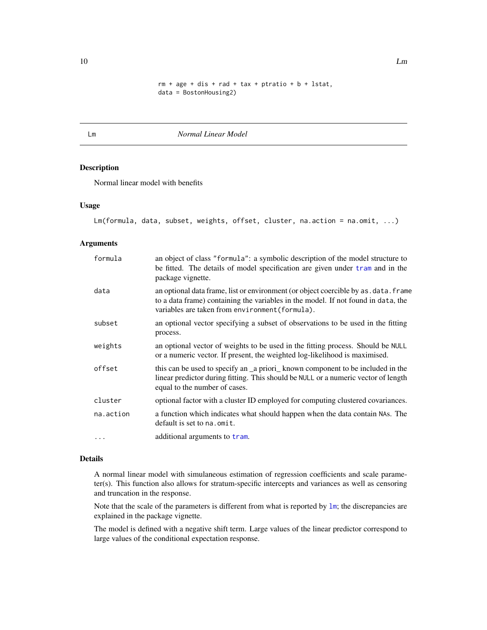```
rm + age + dis + rad + tax + ptratio + b + lstat,
data = BostonHousing2)
```
<span id="page-9-1"></span><span id="page-9-0"></span>Lm *Normal Linear Model*

#### Description

Normal linear model with benefits

#### Usage

```
Lm(formula, data, subset, weights, offset, cluster, na.action = na.omit, ...)
```
#### Arguments

| formula   | an object of class "formula": a symbolic description of the model structure to<br>be fitted. The details of model specification are given under tram and in the<br>package vignette.                                         |
|-----------|------------------------------------------------------------------------------------------------------------------------------------------------------------------------------------------------------------------------------|
| data      | an optional data frame, list or environment (or object coercible by as . data. frame<br>to a data frame) containing the variables in the model. If not found in data, the<br>variables are taken from environment (formula). |
| subset    | an optional vector specifying a subset of observations to be used in the fitting<br>process.                                                                                                                                 |
| weights   | an optional vector of weights to be used in the fitting process. Should be NULL<br>or a numeric vector. If present, the weighted log-likelihood is maximised.                                                                |
| offset    | this can be used to specify an _a priori_known component to be included in the<br>linear predictor during fitting. This should be NULL or a numeric vector of length<br>equal to the number of cases.                        |
| cluster   | optional factor with a cluster ID employed for computing clustered covariances.                                                                                                                                              |
| na.action | a function which indicates what should happen when the data contain NAs. The<br>default is set to na. omit.                                                                                                                  |
| $\cdots$  | additional arguments to tram.                                                                                                                                                                                                |

## Details

A normal linear model with simulaneous estimation of regression coefficients and scale parameter(s). This function also allows for stratum-specific intercepts and variances as well as censoring and truncation in the response.

Note that the scale of the parameters is different from what is reported by [lm](#page-0-0); the discrepancies are explained in the package vignette.

The model is defined with a negative shift term. Large values of the linear predictor correspond to large values of the conditional expectation response.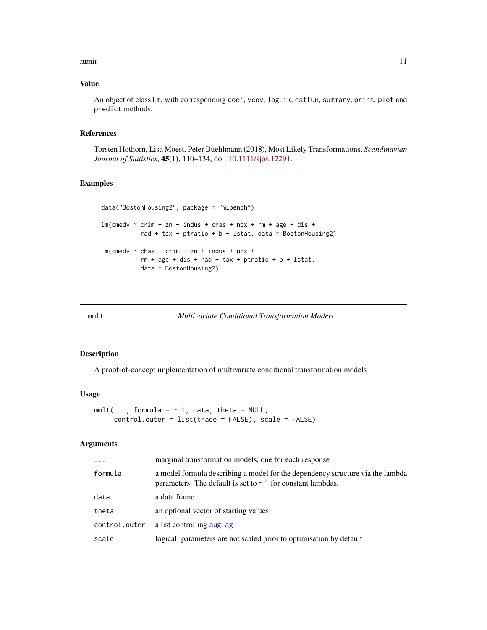#### <span id="page-10-0"></span> $mm$ It and  $11$

## Value

An object of class Lm, with corresponding coef, vcov, logLik, estfun, summary, print, plot and predict methods.

## References

Torsten Hothorn, Lisa Moest, Peter Buehlmann (2018), Most Likely Transformations, *Scandinavian Journal of Statistics*, 45(1), 110–134, doi: [10.1111/sjos.12291.](https://doi.org/10.1111/sjos.12291)

## Examples

```
data("BostonHousing2", package = "mlbench")
lm(cmedv \sim crim + zn + indus + chas + nox + rm + age + dis +rad + tax + ptratio + b + lstat, data = BostonHousing2)
Lm(cmedv \sim chas + crim + zn + indus + nox +
           rm + age + dis + rad + tax + ptratio + b + lstat,data = BostonHousing2)
```

| mmlt | <b>Multivariate Conditional Transformation Models</b> |  |
|------|-------------------------------------------------------|--|
|------|-------------------------------------------------------|--|

## Description

A proof-of-concept implementation of multivariate conditional transformation models

## Usage

```
mmlt(..., formula = ~ 1, data, theta = NULL,control.outer = list(trace = FALSE), scale = FALSE)
```

| $\cdots$      | marginal transformation models, one for each response                                                                                              |
|---------------|----------------------------------------------------------------------------------------------------------------------------------------------------|
| formula       | a model formula describing a model for the dependency structure via the lambda<br>parameters. The default is set to $\sim$ 1 for constant lambdas. |
| data          | a data.frame                                                                                                                                       |
| theta         | an optional vector of starting values                                                                                                              |
| control.outer | a list controlling auglag                                                                                                                          |
| scale         | logical; parameters are not scaled prior to optimisation by default                                                                                |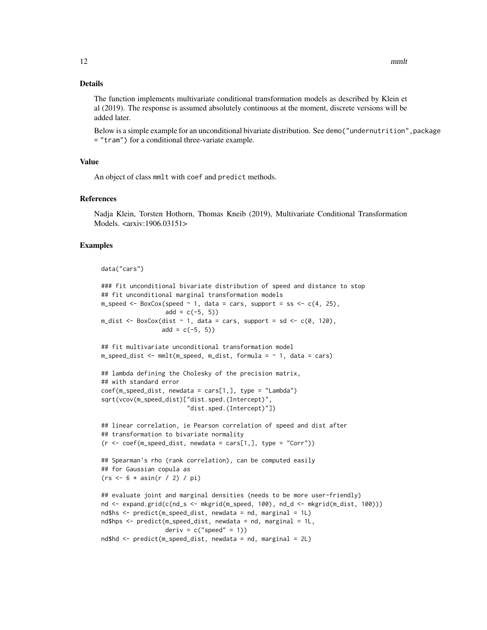The function implements multivariate conditional transformation models as described by Klein et al (2019). The response is assumed absolutely continuous at the moment, discrete versions will be added later.

Below is a simple example for an unconditional bivariate distribution. See demo("undernutrition", package = "tram") for a conditional three-variate example.

## Value

An object of class mmlt with coef and predict methods.

#### References

Nadja Klein, Torsten Hothorn, Thomas Kneib (2019), Multivariate Conditional Transformation Models. <arxiv:1906.03151>

```
data("cars")
### fit unconditional bivariate distribution of speed and distance to stop
## fit unconditional marginal transformation models
m_speed <- BoxCox(speed \sim 1, data = cars, support = ss <- c(4, 25),
                  add = c(-5, 5)m_dist \leq BoxCox(dist \sim 1, data = cars, support = sd \leq \sim c(0, 120),
                 add = c(-5, 5)## fit multivariate unconditional transformation model
m_speed_dist <- mmlt(m_speed, m_dist, formula = ~ 1, data = cars)
## lambda defining the Cholesky of the precision matrix,
## with standard error
coef(m_speed\_dist, newdata = cars[1,], type = "Lambda")sqrt(vcov(m_speed_dist)["dist.sped.(Intercept)",
                        "dist.sped.(Intercept)"])
## linear correlation, ie Pearson correlation of speed and dist after
## transformation to bivariate normality
(r \leq coef(m_speed_dist, newdata = cars[1,], type = "Corr"))
## Spearman's rho (rank correlation), can be computed easily
## for Gaussian copula as
(rs < -6 * asin(r / 2) / pi)## evaluate joint and marginal densities (needs to be more user-friendly)
nd <- expand.grid(c(nd_s <- mkgrid(m_speed, 100), nd_d <- mkgrid(m_dist, 100)))
nd$hs <- predict(m_speed_dist, newdata = nd, marginal = 1L)
nd$hps <- predict(m_speed_dist, newdata = nd, marginal = 1L,
                  deriv = c("speed" = 1))nd$hd <- predict(m_speed_dist, newdata = nd, marginal = 2L)
```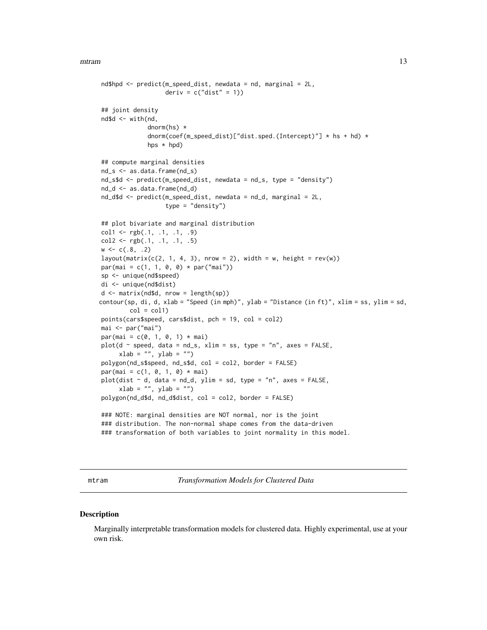```
nd$hpd <- predict(m_speed_dist, newdata = nd, marginal = 2L,
                  deriv = c("dist" = 1))
## joint density
nd$d <- with(nd,
             dnorm(hs) *
             dnorm(coef(m_speed_dist)["dist.sped.(Intercept)"] * hs + hd) *
             hps * hpd)
## compute marginal densities
nd_s <- as.data.frame(nd_s)
nd_s$d <- predict(m_speed_dist, newdata = nd_s, type = "density")
nd_d <- as.data.frame(nd_d)
nd_d$d <- predict(m_speed_dist, newdata = nd_d, marginal = 2L,
                   type = "density")
## plot bivariate and marginal distribution
\text{coll} \leftarrow \text{rgb}(.1, .1, .1, .9)col2 \leq rgb(.1, .1, .1, .5)w \leq c(.8, .2)layout(matrix(c(2, 1, 4, 3), nrow = 2), width = w, height = rev(w))
par(mai = c(1, 1, 0, 0) * par("mai")sp <- unique(nd$speed)
di <- unique(nd$dist)
d <- matrix(nd$d, nrow = length(sp))
contour(sp, di, d, xlab = "Speed (in mph)", ylab = "Distance (in ft)", xlim = ss, ylim = sd,
        col = col1points(cars$speed, cars$dist, pch = 19, col = col2)
mai <- par("mai")
par(mai = c(0, 1, 0, 1) * mai)plot(d \sim speed, data = nd_s, xlim = ss, type = "n", axes = FALSE,xlab = "", ylab = "")
polygon(nd_s$speed, nd_s$d, col = col2, border = FALSE)
par(mai = c(1, 0, 1, 0) * mai)plot(dist ~ d, data = nd_d, ylim = sd, type = "n", axes = FALSE,xlab = "", ylab = "")polygon(nd_d$d, nd_d$dist, col = col2, border = FALSE)
### NOTE: marginal densities are NOT normal, nor is the joint
### distribution. The non-normal shape comes from the data-driven
```
### transformation of both variables to joint normality in this model.

mtram *Transformation Models for Clustered Data*

#### **Description**

Marginally interpretable transformation models for clustered data. Highly experimental, use at your own risk.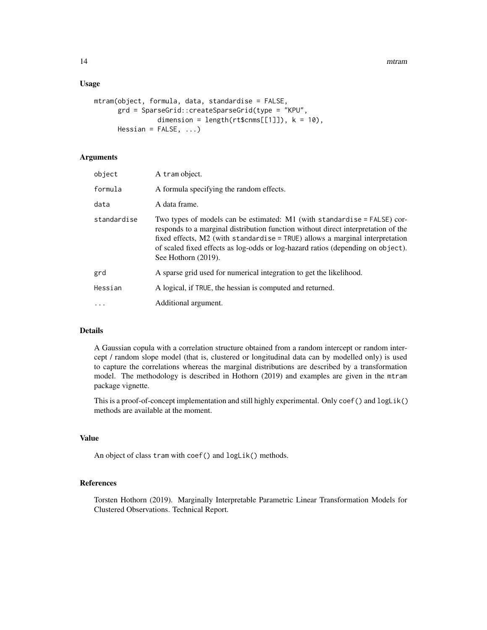#### Usage

```
mtram(object, formula, data, standardise = FALSE,
     grd = SparseGrid::createSparseGrid(type = "KPU",
                dimension = length(rt$cmms[[1]]), k = 10),
     Hessian = FALSE, ...)
```
## Arguments

| formula<br>A formula specifying the random effects.<br>data<br>A data frame.<br>standardise<br>Two types of models can be estimated: $M1$ (with standardise = FALSE) cor-<br>responds to a marginal distribution function without direct interpretation of the<br>fixed effects, $M2$ (with standardise = TRUE) allows a marginal interpretation<br>of scaled fixed effects as log-odds or log-hazard ratios (depending on object).<br>See Hothorn (2019).<br>grd<br>A sparse grid used for numerical integration to get the likelihood.<br>A logical, if TRUE, the hessian is computed and returned.<br>Hessian<br>Additional argument.<br>$\cdots$ | object | A tram object. |
|------------------------------------------------------------------------------------------------------------------------------------------------------------------------------------------------------------------------------------------------------------------------------------------------------------------------------------------------------------------------------------------------------------------------------------------------------------------------------------------------------------------------------------------------------------------------------------------------------------------------------------------------------|--------|----------------|
|                                                                                                                                                                                                                                                                                                                                                                                                                                                                                                                                                                                                                                                      |        |                |
|                                                                                                                                                                                                                                                                                                                                                                                                                                                                                                                                                                                                                                                      |        |                |
|                                                                                                                                                                                                                                                                                                                                                                                                                                                                                                                                                                                                                                                      |        |                |
|                                                                                                                                                                                                                                                                                                                                                                                                                                                                                                                                                                                                                                                      |        |                |
|                                                                                                                                                                                                                                                                                                                                                                                                                                                                                                                                                                                                                                                      |        |                |
|                                                                                                                                                                                                                                                                                                                                                                                                                                                                                                                                                                                                                                                      |        |                |

## Details

A Gaussian copula with a correlation structure obtained from a random intercept or random intercept / random slope model (that is, clustered or longitudinal data can by modelled only) is used to capture the correlations whereas the marginal distributions are described by a transformation model. The methodology is described in Hothorn (2019) and examples are given in the mtram package vignette.

This is a proof-of-concept implementation and still highly experimental. Only coef() and logLik() methods are available at the moment.

#### Value

An object of class tram with coef() and logLik() methods.

## References

Torsten Hothorn (2019). Marginally Interpretable Parametric Linear Transformation Models for Clustered Observations. Technical Report.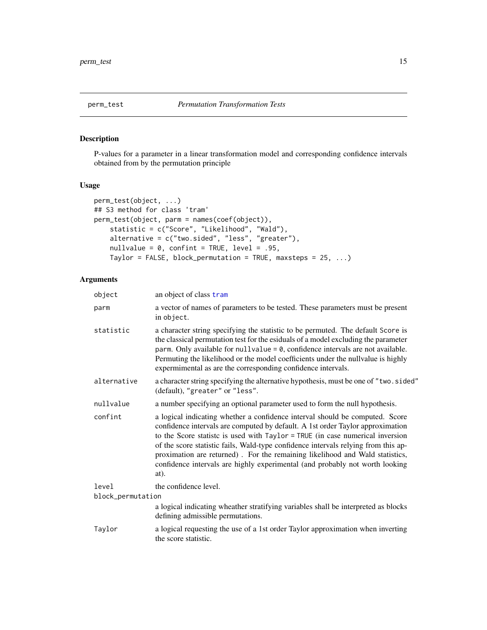<span id="page-14-1"></span><span id="page-14-0"></span>

## Description

P-values for a parameter in a linear transformation model and corresponding confidence intervals obtained from by the permutation principle

## Usage

```
perm_test(object, ...)
## S3 method for class 'tram'
perm_test(object, parm = names(coef(object)),
    statistic = c("Score", "Likelihood", "Wald"),
   alternative = c("two.sided", "less", "greater"),
   nullvalue = 0, confint = TRUE, level = .95,
    Taylor = FALSE, block_permutation = TRUE, maxsteps = 25, \dots)
```

| object            | an object of class tram                                                                                                                                                                                                                                                                                                                                                                                                                                                                                       |
|-------------------|---------------------------------------------------------------------------------------------------------------------------------------------------------------------------------------------------------------------------------------------------------------------------------------------------------------------------------------------------------------------------------------------------------------------------------------------------------------------------------------------------------------|
| parm              | a vector of names of parameters to be tested. These parameters must be present<br>in object.                                                                                                                                                                                                                                                                                                                                                                                                                  |
| statistic         | a character string specifying the statistic to be permuted. The default Score is<br>the classical permutation test for the esiduals of a model excluding the parameter<br>parm. Only available for nullvalue = 0, confidence intervals are not available.<br>Permuting the likelihood or the model coefficients under the nullvalue is highly<br>expermimental as are the corresponding confidence intervals.                                                                                                 |
| alternative       | a character string specifying the alternative hypothesis, must be one of "two.sided"<br>(default), "greater" or "less".                                                                                                                                                                                                                                                                                                                                                                                       |
| nullvalue         | a number specifying an optional parameter used to form the null hypothesis.                                                                                                                                                                                                                                                                                                                                                                                                                                   |
| confint           | a logical indicating whether a confidence interval should be computed. Score<br>confidence intervals are computed by default. A 1st order Taylor approximation<br>to the Score statistc is used with Taylor = TRUE (in case numerical inversion<br>of the score statistic fails, Wald-type confidence intervals relying from this ap-<br>proximation are returned). For the remaining likelihood and Wald statistics,<br>confidence intervals are highly experimental (and probably not worth looking<br>at). |
| level             | the confidence level.                                                                                                                                                                                                                                                                                                                                                                                                                                                                                         |
| block_permutation |                                                                                                                                                                                                                                                                                                                                                                                                                                                                                                               |
|                   | a logical indicating wheather stratifying variables shall be interpreted as blocks<br>defining admissible permutations.                                                                                                                                                                                                                                                                                                                                                                                       |
| Taylor            | a logical requesting the use of a 1st order Taylor approximation when inverting<br>the score statistic.                                                                                                                                                                                                                                                                                                                                                                                                       |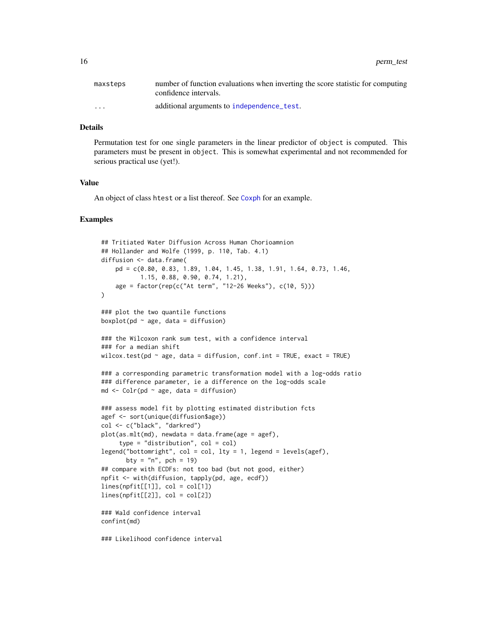<span id="page-15-0"></span>

| maxsteps             | number of function evaluations when inverting the score statistic for computing<br>confidence intervals. |
|----------------------|----------------------------------------------------------------------------------------------------------|
| $\ddot{\phantom{0}}$ | additional arguments to independence test.                                                               |

Permutation test for one single parameters in the linear predictor of object is computed. This parameters must be present in object. This is somewhat experimental and not recommended for serious practical use (yet!).

## Value

An object of class htest or a list thereof. See [Coxph](#page-6-1) for an example.

```
## Tritiated Water Diffusion Across Human Chorioamnion
## Hollander and Wolfe (1999, p. 110, Tab. 4.1)
diffusion <- data.frame(
    pd = c(0.80, 0.83, 1.89, 1.04, 1.45, 1.38, 1.91, 1.64, 0.73, 1.46,
           1.15, 0.88, 0.90, 0.74, 1.21),
    age = factor(rep(c("At term", "12-26 Weeks"), c(10, 5)))
\lambda### plot the two quantile functions
boxplot(pd \sim age, data = diffusion)
### the Wilcoxon rank sum test, with a confidence interval
### for a median shift
wilcox.test(pd \sim age, data = diffusion, conf.int = TRUE, exact = TRUE)
### a corresponding parametric transformation model with a log-odds ratio
### difference parameter, ie a difference on the log-odds scale
md \le Colr(pd \sim age, data = diffusion)
### assess model fit by plotting estimated distribution fcts
agef <- sort(unique(diffusion$age))
col <- c("black", "darkred")
plot(as.mlt(md), newdata = data.frame(age = agef),
     type = "distribution", col = col)
legend("bottomright", col = col, lty = 1, legend = levels(agef),
       bty = "n", pch = 19)
## compare with ECDFs: not too bad (but not good, either)
npfit <- with(diffusion, tapply(pd, age, ecdf))
lines(npfit[[1]], col = col[1])lines(npfit[[2]], col = col[2])### Wald confidence interval
confint(md)
### Likelihood confidence interval
```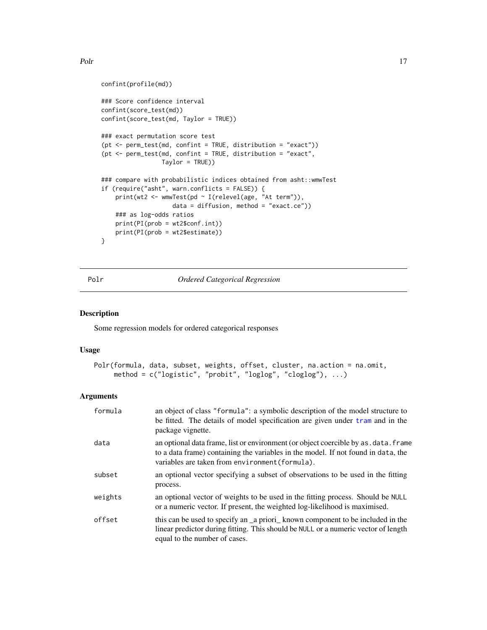```
confint(profile(md))
### Score confidence interval
confint(score_test(md))
confint(score_test(md, Taylor = TRUE))
### exact permutation score test
(pt <- perm_test(md, confint = TRUE, distribution = "exact"))
(pt <- perm_test(md, confint = TRUE, distribution = "exact",
                 Taylor = TRUE))
### compare with probabilistic indices obtained from asht::wmwTest
if (require("asht", warn.conflicts = FALSE)) {
    print(wt2 <- wmwTest(pd ~ I(relevel(age, "At term")),
                    data = diffusion, method = "exact.ce"))
    ### as log-odds ratios
    print(PI(prob = wt2$conf.int))
    print(PI(prob = wt2$estimate))
}
```
<span id="page-16-1"></span>

Polr *Ordered Categorical Regression*

#### Description

Some regression models for ordered categorical responses

#### Usage

```
Polr(formula, data, subset, weights, offset, cluster, na.action = na.omit,
     method = c("logistic", "probit", "loglog", "cloglog"), ...)
```

| formula | an object of class "formula": a symbolic description of the model structure to<br>be fitted. The details of model specification are given under tram and in the<br>package vignette.                                         |
|---------|------------------------------------------------------------------------------------------------------------------------------------------------------------------------------------------------------------------------------|
| data    | an optional data frame, list or environment (or object coercible by as . data. frame<br>to a data frame) containing the variables in the model. If not found in data, the<br>variables are taken from environment (formula). |
| subset  | an optional vector specifying a subset of observations to be used in the fitting<br>process.                                                                                                                                 |
| weights | an optional vector of weights to be used in the fitting process. Should be NULL<br>or a numeric vector. If present, the weighted log-likelihood is maximised.                                                                |
| offset  | this can be used to specify an a priori known component to be included in the<br>linear predictor during fitting. This should be NULL or a numeric vector of length<br>equal to the number of cases.                         |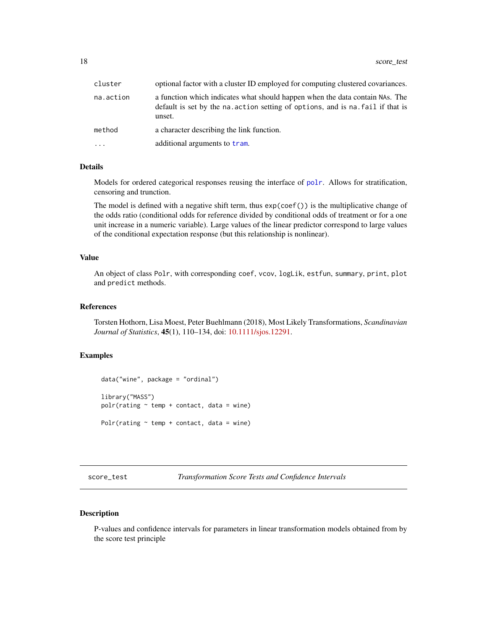<span id="page-17-0"></span>

| cluster    | optional factor with a cluster ID employed for computing clustered covariances.                                                                                           |
|------------|---------------------------------------------------------------------------------------------------------------------------------------------------------------------------|
| na.action  | a function which indicates what should happen when the data contain NAs. The<br>default is set by the na. action setting of options, and is na. fail if that is<br>unset. |
| method     | a character describing the link function.                                                                                                                                 |
| $\ddots$ . | additional arguments to tram.                                                                                                                                             |

Models for ordered categorical responses reusing the interface of [polr](#page-0-0). Allows for stratification, censoring and trunction.

The model is defined with a negative shift term, thus exp(coef()) is the multiplicative change of the odds ratio (conditional odds for reference divided by conditional odds of treatment or for a one unit increase in a numeric variable). Large values of the linear predictor correspond to large values of the conditional expectation response (but this relationship is nonlinear).

#### Value

An object of class Polr, with corresponding coef, vcov, logLik, estfun, summary, print, plot and predict methods.

#### References

Torsten Hothorn, Lisa Moest, Peter Buehlmann (2018), Most Likely Transformations, *Scandinavian Journal of Statistics*, 45(1), 110–134, doi: [10.1111/sjos.12291.](https://doi.org/10.1111/sjos.12291)

## Examples

```
data("wine", package = "ordinal")
library("MASS")
polar(rating ~ temp + contact, data = wine)Polr(rating \sim temp + contact, data = wine)
```
score\_test *Transformation Score Tests and Confidence Intervals*

#### Description

P-values and confidence intervals for parameters in linear transformation models obtained from by the score test principle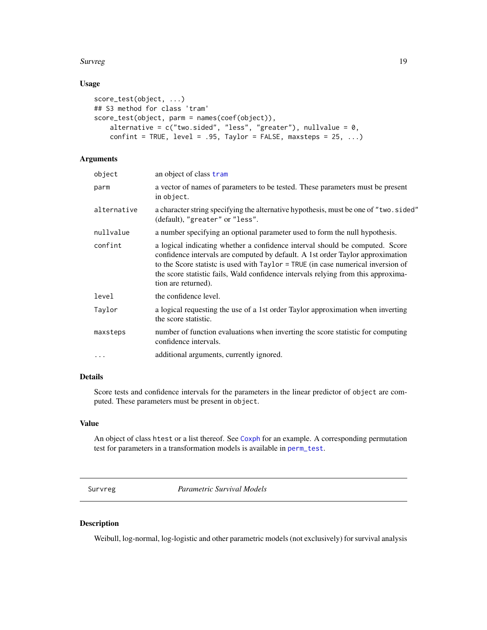#### <span id="page-18-0"></span>Survreg 2008 and 2008 and 2008 and 2008 and 2008 and 2008 and 2008 and 2008 and 2008 and 2008 and 2008 and 200

## Usage

```
score_test(object, ...)
## S3 method for class 'tram'
score_test(object, parm = names(coef(object)),
    alternative = c("two-sided", "less", "greater"), nullvalue = 0,confint = TRUE, level = .95, Taylor = FALSE, maxsteps = 25, ...)
```
## Arguments

| object      | an object of class tram                                                                                                                                                                                                                                                                                                                                         |
|-------------|-----------------------------------------------------------------------------------------------------------------------------------------------------------------------------------------------------------------------------------------------------------------------------------------------------------------------------------------------------------------|
| parm        | a vector of names of parameters to be tested. These parameters must be present<br>in object.                                                                                                                                                                                                                                                                    |
| alternative | a character string specifying the alternative hypothesis, must be one of "two.sided"<br>(default), "greater" or "less".                                                                                                                                                                                                                                         |
| nullvalue   | a number specifying an optional parameter used to form the null hypothesis.                                                                                                                                                                                                                                                                                     |
| confint     | a logical indicating whether a confidence interval should be computed. Score<br>confidence intervals are computed by default. A 1st order Taylor approximation<br>to the Score statistic is used with Taylor = TRUE (in case numerical inversion of<br>the score statistic fails, Wald confidence intervals relying from this approxima-<br>tion are returned). |
| level       | the confidence level.                                                                                                                                                                                                                                                                                                                                           |
| Taylor      | a logical requesting the use of a 1st order Taylor approximation when inverting<br>the score statistic.                                                                                                                                                                                                                                                         |
| maxsteps    | number of function evaluations when inverting the score statistic for computing<br>confidence intervals.                                                                                                                                                                                                                                                        |
| $\cdots$    | additional arguments, currently ignored.                                                                                                                                                                                                                                                                                                                        |
|             |                                                                                                                                                                                                                                                                                                                                                                 |

## Details

Score tests and confidence intervals for the parameters in the linear predictor of object are computed. These parameters must be present in object.

## Value

An object of class htest or a list thereof. See [Coxph](#page-6-1) for an example. A corresponding permutation test for parameters in a transformation models is available in [perm\\_test](#page-14-1).

<span id="page-18-1"></span>Survreg *Parametric Survival Models*

## Description

Weibull, log-normal, log-logistic and other parametric models (not exclusively) for survival analysis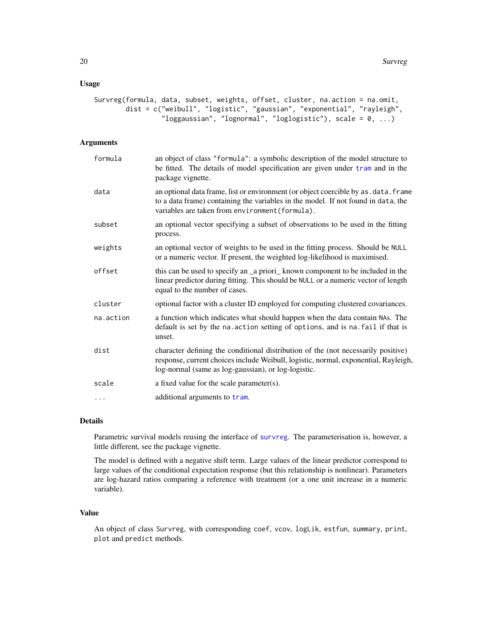## <span id="page-19-0"></span>Usage

```
Survreg(formula, data, subset, weights, offset, cluster, na.action = na.omit,
       dist = c("weibull", "logistic", "gaussian", "exponential", "rayleigh",
                 "loggaussian", "lognormal", "loglogistic"), scale = 0, ...)
```
#### Arguments

| formula   | an object of class "formula": a symbolic description of the model structure to<br>be fitted. The details of model specification are given under tram and in the<br>package vignette.                                            |
|-----------|---------------------------------------------------------------------------------------------------------------------------------------------------------------------------------------------------------------------------------|
| data      | an optional data frame, list or environment (or object coercible by as . data. frame<br>to a data frame) containing the variables in the model. If not found in data, the<br>variables are taken from environment (formula).    |
| subset    | an optional vector specifying a subset of observations to be used in the fitting<br>process.                                                                                                                                    |
| weights   | an optional vector of weights to be used in the fitting process. Should be NULL<br>or a numeric vector. If present, the weighted log-likelihood is maximised.                                                                   |
| offset    | this can be used to specify an _a priori_known component to be included in the<br>linear predictor during fitting. This should be NULL or a numeric vector of length<br>equal to the number of cases.                           |
| cluster   | optional factor with a cluster ID employed for computing clustered covariances.                                                                                                                                                 |
| na.action | a function which indicates what should happen when the data contain NAs. The<br>default is set by the na. action setting of options, and is na. fail if that is<br>unset.                                                       |
| dist      | character defining the conditional distribution of the (not necessarily positive)<br>response, current choices include Weibull, logistic, normal, exponential, Rayleigh,<br>log-normal (same as log-gaussian), or log-logistic. |
| scale     | a fixed value for the scale parameter(s).                                                                                                                                                                                       |
| $\cdots$  | additional arguments to tram.                                                                                                                                                                                                   |

## Details

Parametric survival models reusing the interface of [survreg](#page-0-0). The parameterisation is, however, a little different, see the package vignette.

The model is defined with a negative shift term. Large values of the linear predictor correspond to large values of the conditional expectation response (but this relationship is nonlinear). Parameters are log-hazard ratios comparing a reference with treatment (or a one unit increase in a numeric variable).

## Value

An object of class Survreg, with corresponding coef, vcov, logLik, estfun, summary, print, plot and predict methods.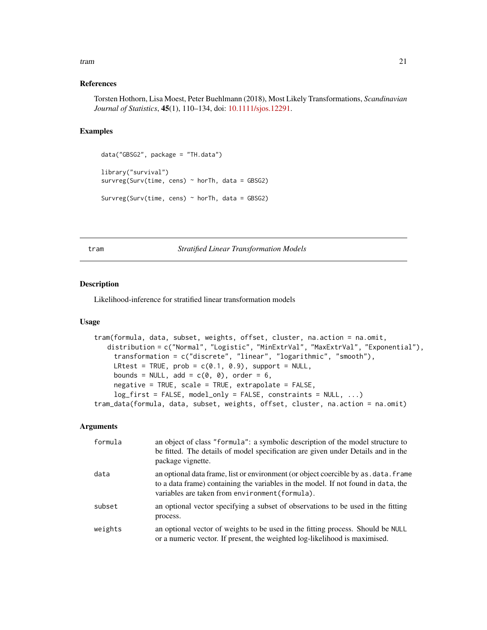#### <span id="page-20-0"></span>tram 21

#### References

Torsten Hothorn, Lisa Moest, Peter Buehlmann (2018), Most Likely Transformations, *Scandinavian Journal of Statistics*, 45(1), 110–134, doi: [10.1111/sjos.12291.](https://doi.org/10.1111/sjos.12291)

## Examples

```
data("GBSG2", package = "TH.data")
library("survival")
survreg(Surv(time, cens) \sim horTh, data = GBSG2)
Survreg(Surv(time, cens) \sim horTh, data = GBSG2)
```
<span id="page-20-1"></span>tram *Stratified Linear Transformation Models*

## Description

Likelihood-inference for stratified linear transformation models

#### Usage

```
tram(formula, data, subset, weights, offset, cluster, na.action = na.omit,
   distribution = c("Normal", "Logistic", "MinExtrVal", "MaxExtrVal", "Exponential"),
     transformation = c("discrete", "linear", "logarithmic", "smooth"),
     LRtest = TRUE, prob = c(0.1, 0.9), support = NULL,
     bounds = NULL, add = c(\emptyset, \emptyset), order = 6,
     negative = TRUE, scale = TRUE, extrapolate = FALSE,
     log_first = FALSE, model_only = FALSE, constraints = NULL, ...)
tram_data(formula, data, subset, weights, offset, cluster, na.action = na.omit)
```

| formula | an object of class "formula": a symbolic description of the model structure to<br>be fitted. The details of model specification are given under Details and in the<br>package vignette.                                      |
|---------|------------------------------------------------------------------------------------------------------------------------------------------------------------------------------------------------------------------------------|
| data    | an optional data frame, list or environment (or object coercible by as . data. frame<br>to a data frame) containing the variables in the model. If not found in data, the<br>variables are taken from environment (formula). |
| subset  | an optional vector specifying a subset of observations to be used in the fitting<br>process.                                                                                                                                 |
| weights | an optional vector of weights to be used in the fitting process. Should be NULL<br>or a numeric vector. If present, the weighted log-likelihood is maximised.                                                                |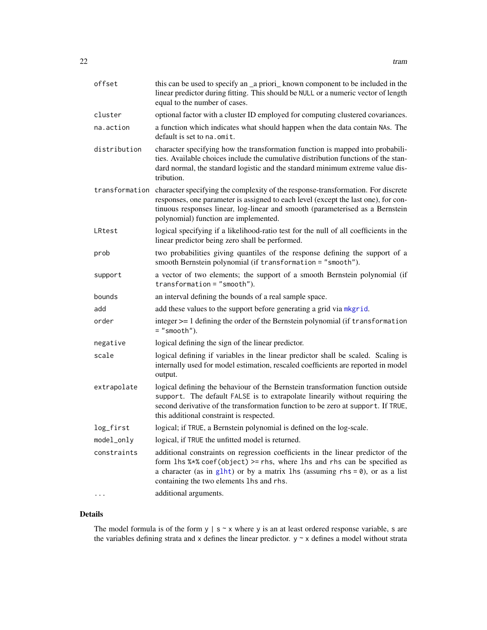<span id="page-21-0"></span>

| offset         | this can be used to specify an _a priori_ known component to be included in the<br>linear predictor during fitting. This should be NULL or a numeric vector of length<br>equal to the number of cases.                                                                                           |
|----------------|--------------------------------------------------------------------------------------------------------------------------------------------------------------------------------------------------------------------------------------------------------------------------------------------------|
| cluster        | optional factor with a cluster ID employed for computing clustered covariances.                                                                                                                                                                                                                  |
| na.action      | a function which indicates what should happen when the data contain NAs. The<br>default is set to na.omit.                                                                                                                                                                                       |
| distribution   | character specifying how the transformation function is mapped into probabili-<br>ties. Available choices include the cumulative distribution functions of the stan-<br>dard normal, the standard logistic and the standard minimum extreme value dis-<br>tribution.                             |
| transformation | character specifying the complexity of the response-transformation. For discrete<br>responses, one parameter is assigned to each level (except the last one), for con-<br>tinuous responses linear, log-linear and smooth (parameterised as a Bernstein<br>polynomial) function are implemented. |
| LRtest         | logical specifying if a likelihood-ratio test for the null of all coefficients in the<br>linear predictor being zero shall be performed.                                                                                                                                                         |
| prob           | two probabilities giving quantiles of the response defining the support of a<br>smooth Bernstein polynomial (if transformation = "smooth").                                                                                                                                                      |
| support        | a vector of two elements; the support of a smooth Bernstein polynomial (if<br>$transformation = "smooth").$                                                                                                                                                                                      |
| bounds         | an interval defining the bounds of a real sample space.                                                                                                                                                                                                                                          |
| add            | add these values to the support before generating a grid via mkgrid.                                                                                                                                                                                                                             |
| order          | integer >= 1 defining the order of the Bernstein polynomial (if transformation<br>$=$ "smooth").                                                                                                                                                                                                 |
| negative       | logical defining the sign of the linear predictor.                                                                                                                                                                                                                                               |
| scale          | logical defining if variables in the linear predictor shall be scaled. Scaling is<br>internally used for model estimation, rescaled coefficients are reported in model<br>output.                                                                                                                |
| extrapolate    | logical defining the behaviour of the Bernstein transformation function outside<br>support. The default FALSE is to extrapolate linearily without requiring the<br>second derivative of the transformation function to be zero at support. If TRUE,<br>this additional constraint is respected.  |
| log_first      | logical; if TRUE, a Bernstein polynomial is defined on the log-scale.                                                                                                                                                                                                                            |
| model_only     | logical, if TRUE the unfitted model is returned.                                                                                                                                                                                                                                                 |
| constraints    | additional constraints on regression coefficients in the linear predictor of the<br>form lhs $%*$ coef(object) >= rhs, where lhs and rhs can be specified as<br>a character (as in glht) or by a matrix lhs (assuming $rhs = 0$ ), or as a list<br>containing the two elements lhs and rhs.      |
|                | additional arguments.                                                                                                                                                                                                                                                                            |

The model formula is of the form  $y \mid s \sim x$  where y is an at least ordered response variable, s are the variables defining strata and x defines the linear predictor.  $y \sim x$  defines a model without strata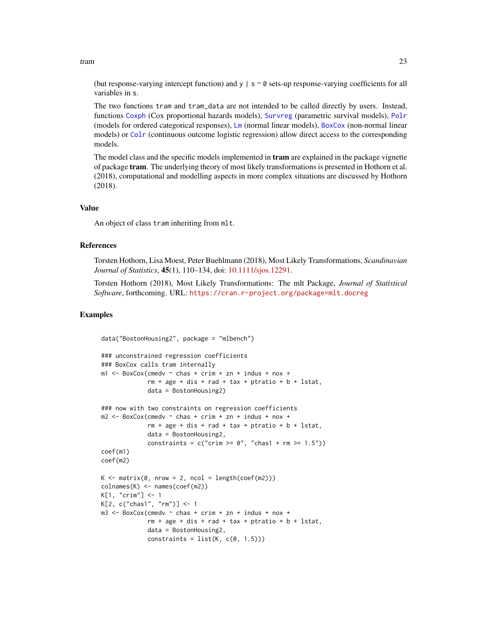<span id="page-22-0"></span>tram 23

(but response-varying intercept function) and  $y \mid s \sim \emptyset$  sets-up response-varying coefficients for all variables in s.

The two functions tram and tram\_data are not intended to be called directly by users. Instead, functions [Coxph](#page-6-1) (Cox proportional hazards models), [Survreg](#page-18-1) (parametric survival models), [Polr](#page-16-1) (models for ordered categorical responses), [Lm](#page-9-1) (normal linear models), [BoxCox](#page-3-1) (non-normal linear models) or [Colr](#page-4-1) (continuous outcome logistic regression) allow direct access to the corresponding models.

The model class and the specific models implemented in **tram** are explained in the package vignette of package tram. The underlying theory of most likely transformations is presented in Hothorn et al. (2018), computational and modelling aspects in more complex situations are discussed by Hothorn (2018).

#### Value

An object of class tram inheriting from mlt.

#### References

Torsten Hothorn, Lisa Moest, Peter Buehlmann (2018), Most Likely Transformations, *Scandinavian Journal of Statistics*, 45(1), 110–134, doi: [10.1111/sjos.12291.](https://doi.org/10.1111/sjos.12291)

Torsten Hothorn (2018), Most Likely Transformations: The mlt Package, *Journal of Statistical Software*, forthcoming. URL: <https://cran.r-project.org/package=mlt.docreg>

```
data("BostonHousing2", package = "mlbench")
### unconstrained regression coefficients
### BoxCox calls tram internally
m1 <- BoxCox(cmedv \sim chas + crim + zn + indus + nox +
             rm + age + dis + rad + tax + p tratio + b + lstat,
             data = BostonHousing2)
### now with two constraints on regression coefficients
m2 \le - BoxCox(cmedv \sim chas + crim + zn + indus + nox +
             rm + age + dis + rad + tax + ptratio + b + lstat,data = BostonHousing2,
             constraints = c("crim \geq 0", "chas1 + rm \geq 1.5"))coef(m1)
coef(m2)
K \le - matrix(0, nrow = 2, ncol = length(coef(m2)))
colnames(K) <- names(coef(m2))
K[1, "crim"] <- 1
K[2, c("chas1", "rm")] <- 1
m3 <- BoxCox(cmedv \sim chas + crim + zn + indus + nox +
             rm + age + dis + rad + tax + ptrain + b + lstat,data = BostonHousing2,
             constraints = list(K, c(0, 1.5)))
```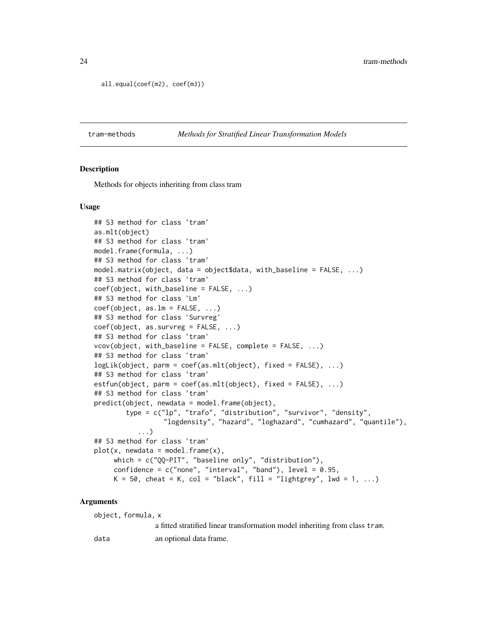```
all.equal(coef(m2), coef(m3))
```
#### Description

Methods for objects inheriting from class tram

#### Usage

```
## S3 method for class 'tram'
as.mlt(object)
## S3 method for class 'tram'
model.frame(formula, ...)
## S3 method for class 'tram'
model.matrix(object, data = object$data, with_baseline = FALSE, ...)
## S3 method for class 'tram'
coef(object, with_baseline = FALSE, ...)
## S3 method for class 'Lm'
coef(object, as.lm = FALSE, ...)## S3 method for class 'Survreg'
coef(object, as.survreg = FALSE, ...)
## S3 method for class 'tram'
vcov(object, with_baseline = FALSE, complete = FALSE, ...)
## S3 method for class 'tram'
logLik(object, parm = coef(as.mlt(object), fixed = FALSE), ...)
## S3 method for class 'tram'
estfun(object, parm = coef(as.mlt(object), fixed = FALSE), \ldots)
## S3 method for class 'tram'
predict(object, newdata = model.frame(object),
        type = c("lp", "trafo", "distribution", "survivor", "density",
                  "logdensity", "hazard", "loghazard", "cumhazard", "quantile"),
           ...)
## S3 method for class 'tram'
plot(x, newdata = model-frame(x),which = c("QQ-PIT", "baseline only", "distribution"),
     confidence = c("none", "interval", "band"), level = 0.95,K = 50, cheat = K, col = "black", fill = "lightgrey", lwd = 1, ...)
```
#### Arguments

object, formula, x

a fitted stratified linear transformation model inheriting from class tram.

data an optional data frame.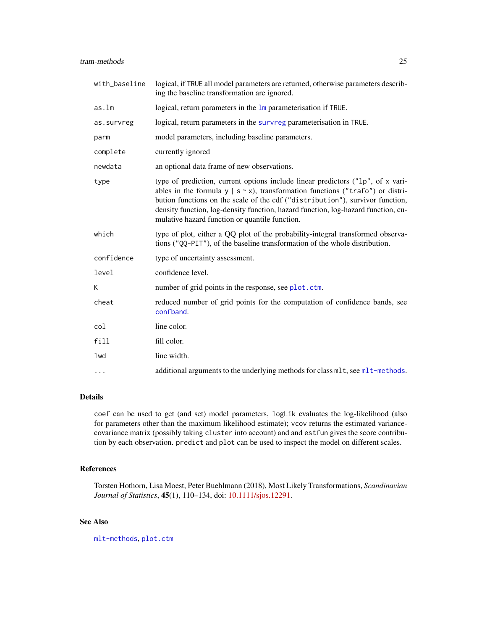<span id="page-24-0"></span>

| with_baseline | logical, if TRUE all model parameters are returned, otherwise parameters describ-<br>ing the baseline transformation are ignored.                                                                                                                                                                                                                                                                 |
|---------------|---------------------------------------------------------------------------------------------------------------------------------------------------------------------------------------------------------------------------------------------------------------------------------------------------------------------------------------------------------------------------------------------------|
| as.lm         | logical, return parameters in the 1m parameterisation if TRUE.                                                                                                                                                                                                                                                                                                                                    |
| as.survreg    | logical, return parameters in the survreg parameterisation in TRUE.                                                                                                                                                                                                                                                                                                                               |
| parm          | model parameters, including baseline parameters.                                                                                                                                                                                                                                                                                                                                                  |
| complete      | currently ignored                                                                                                                                                                                                                                                                                                                                                                                 |
| newdata       | an optional data frame of new observations.                                                                                                                                                                                                                                                                                                                                                       |
| type          | type of prediction, current options include linear predictors ("1p", of x vari-<br>ables in the formula $y \mid s \sim x$ , transformation functions ("trafo") or distri-<br>bution functions on the scale of the cdf ("distribution"), survivor function,<br>density function, log-density function, hazard function, log-hazard function, cu-<br>mulative hazard function or quantile function. |
| which         | type of plot, either a QQ plot of the probability-integral transformed observa-<br>tions ("QQ-PIT"), of the baseline transformation of the whole distribution.                                                                                                                                                                                                                                    |
| confidence    | type of uncertainty assessment.                                                                                                                                                                                                                                                                                                                                                                   |
| level         | confidence level.                                                                                                                                                                                                                                                                                                                                                                                 |
| K             | number of grid points in the response, see plot.ctm.                                                                                                                                                                                                                                                                                                                                              |
| cheat         | reduced number of grid points for the computation of confidence bands, see<br>confband.                                                                                                                                                                                                                                                                                                           |
| col           | line color.                                                                                                                                                                                                                                                                                                                                                                                       |
| fill          | fill color.                                                                                                                                                                                                                                                                                                                                                                                       |
| lwd           | line width.                                                                                                                                                                                                                                                                                                                                                                                       |
| $\cdots$      | additional arguments to the underlying methods for class mlt, see mlt-methods.                                                                                                                                                                                                                                                                                                                    |

coef can be used to get (and set) model parameters, logLik evaluates the log-likelihood (also for parameters other than the maximum likelihood estimate); vcov returns the estimated variancecovariance matrix (possibly taking cluster into account) and and estfun gives the score contribution by each observation. predict and plot can be used to inspect the model on different scales.

## References

Torsten Hothorn, Lisa Moest, Peter Buehlmann (2018), Most Likely Transformations, *Scandinavian Journal of Statistics*, 45(1), 110–134, doi: [10.1111/sjos.12291.](https://doi.org/10.1111/sjos.12291)

## See Also

[mlt-methods](#page-0-0), [plot.ctm](#page-0-0)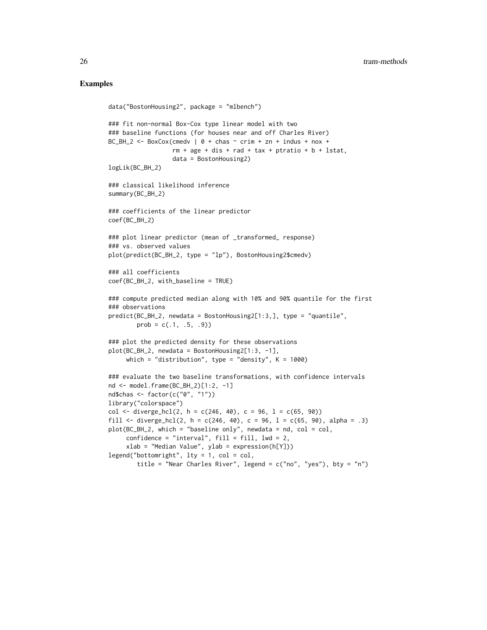```
data("BostonHousing2", package = "mlbench")
### fit non-normal Box-Cox type linear model with two
### baseline functions (for houses near and off Charles River)
BC_BH_2 \leq - BoxCox(cmedv | 0 + chas \sim crim + zn + indus + nox +
                  rm + age + dis + rad + tax + ptratio + b + lstat,data = BostonHousing2)
logLik(BC_BH_2)
### classical likelihood inference
summary(BC_BH_2)
### coefficients of the linear predictor
coef(BC_BH_2)
### plot linear predictor (mean of _transformed_ response)
### vs. observed values
plot(predict(BC_BH_2, type = "lp"), BostonHousing2$cmedv)
### all coefficients
coef(BC_BH_2, with_baseline = TRUE)
### compute predicted median along with 10% and 90% quantile for the first
### observations
predict(BC_BH_2, newdata = BostonHousing2[1:3,], type = "quantile",
        prob = c(.1, .5, .9)### plot the predicted density for these observations
plot(BC_BH_2, newdata = BostonHousing2[1:3, -1],
    which = "distribution", type = "density", K = 1000)
### evaluate the two baseline transformations, with confidence intervals
nd <- model.frame(BC_BH_2)[1:2, -1]
nd$chas <- factor(c("0", "1"))
library("colorspace")
col \leftarrow diverge_hcl(2, h = c(246, 40), c = 96, l = c(65, 90))
fill <- diverge_hcl(2, h = c(246, 40), c = 96, l = c(65, 90), alpha = .3)
plot(BC_BH_2, which = "baseline only", newdata = nd, col = col,
     confidence = "interval", fill = fill, 1wd = 2,
     xlab = "Median Value", ylab = expression(h[Y]))
legend("bottomright", lty = 1, col = col,title = "Near Charles River", legend = c("no", "yes"), bty = "n")
```